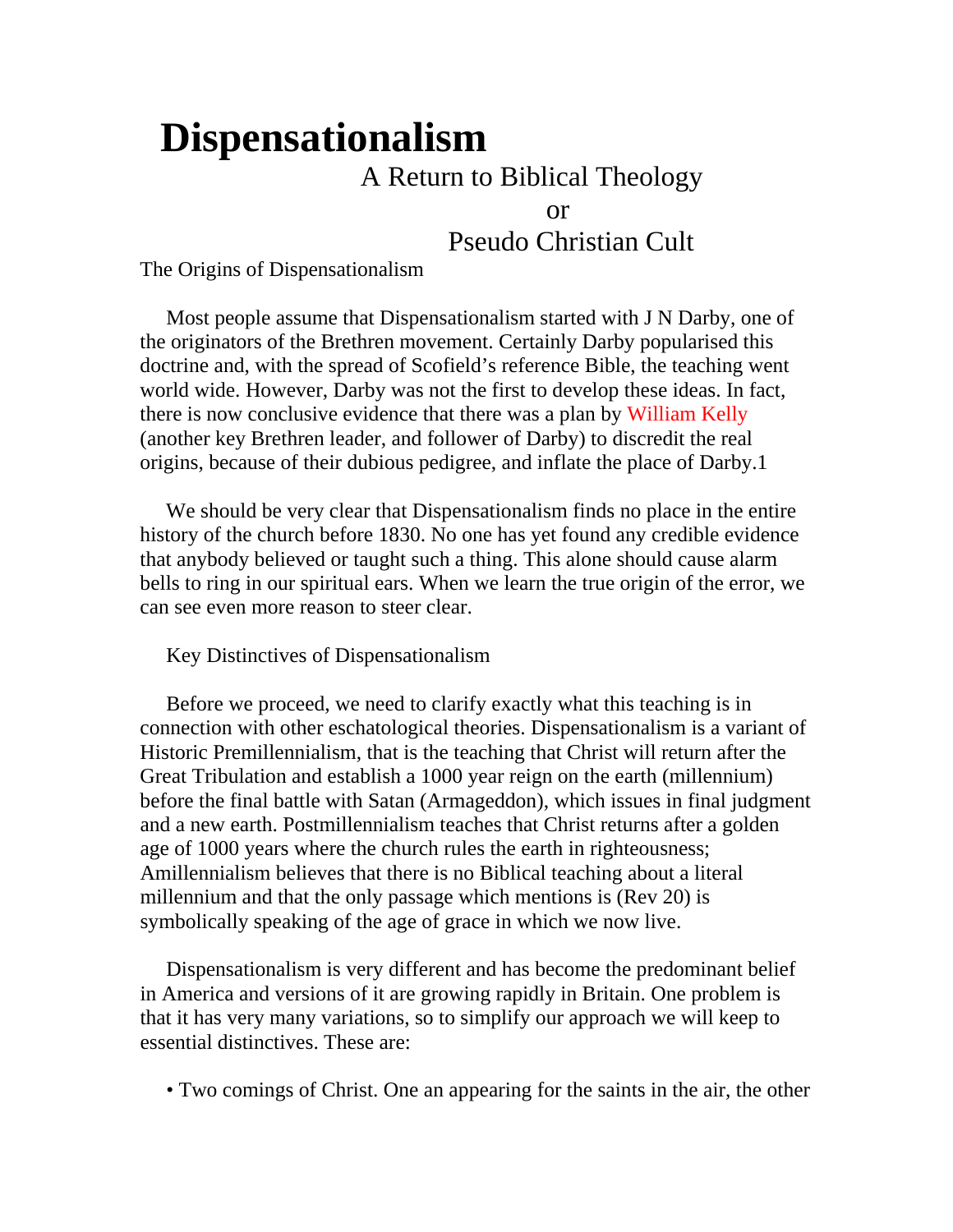# **Dispensationalism**

# A Return to Biblical Theology

or

Pseudo Christian Cult

The Origins of Dispensationalism

 Most people assume that Dispensationalism started with J N Darby, one of the originators of the Brethren movement. Certainly Darby popularised this doctrine and, with the spread of Scofield's reference Bible, the teaching went world wide. However, Darby was not the first to develop these ideas. In fact, there is now conclusive evidence that there was a plan by William Kelly (another key Brethren leader, and follower of Darby) to discredit the real origins, because of their dubious pedigree, and inflate the place of Darby.1

 We should be very clear that Dispensationalism finds no place in the entire history of the church before 1830. No one has yet found any credible evidence that anybody believed or taught such a thing. This alone should cause alarm bells to ring in our spiritual ears. When we learn the true origin of the error, we can see even more reason to steer clear.

Key Distinctives of Dispensationalism

 Before we proceed, we need to clarify exactly what this teaching is in connection with other eschatological theories. Dispensationalism is a variant of Historic Premillennialism, that is the teaching that Christ will return after the Great Tribulation and establish a 1000 year reign on the earth (millennium) before the final battle with Satan (Armageddon), which issues in final judgment and a new earth. Postmillennialism teaches that Christ returns after a golden age of 1000 years where the church rules the earth in righteousness; Amillennialism believes that there is no Biblical teaching about a literal millennium and that the only passage which mentions is (Rev 20) is symbolically speaking of the age of grace in which we now live.

 Dispensationalism is very different and has become the predominant belief in America and versions of it are growing rapidly in Britain. One problem is that it has very many variations, so to simplify our approach we will keep to essential distinctives. These are:

• Two comings of Christ. One an appearing for the saints in the air, the other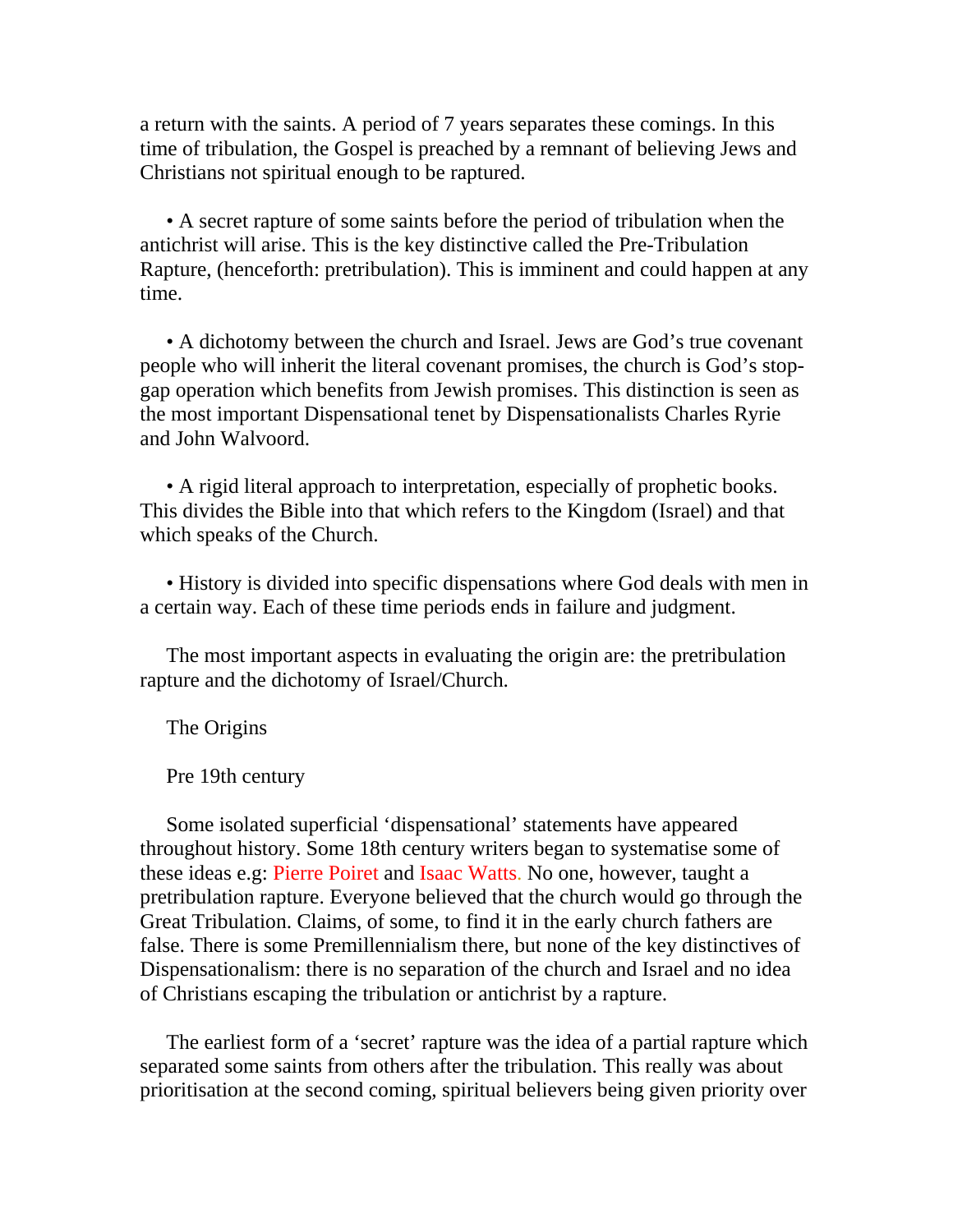a return with the saints. A period of 7 years separates these comings. In this time of tribulation, the Gospel is preached by a remnant of believing Jews and Christians not spiritual enough to be raptured.

 • A secret rapture of some saints before the period of tribulation when the antichrist will arise. This is the key distinctive called the Pre-Tribulation Rapture, (henceforth: pretribulation). This is imminent and could happen at any time.

 • A dichotomy between the church and Israel. Jews are God's true covenant people who will inherit the literal covenant promises, the church is God's stopgap operation which benefits from Jewish promises. This distinction is seen as the most important Dispensational tenet by Dispensationalists Charles Ryrie and John Walvoord.

 • A rigid literal approach to interpretation, especially of prophetic books. This divides the Bible into that which refers to the Kingdom (Israel) and that which speaks of the Church.

 • History is divided into specific dispensations where God deals with men in a certain way. Each of these time periods ends in failure and judgment.

 The most important aspects in evaluating the origin are: the pretribulation rapture and the dichotomy of Israel/Church.

The Origins

Pre 19th century

 Some isolated superficial 'dispensational' statements have appeared throughout history. Some 18th century writers began to systematise some of these ideas e.g: Pierre Poiret and Isaac Watts. No one, however, taught a pretribulation rapture. Everyone believed that the church would go through the Great Tribulation. Claims, of some, to find it in the early church fathers are false. There is some Premillennialism there, but none of the key distinctives of Dispensationalism: there is no separation of the church and Israel and no idea of Christians escaping the tribulation or antichrist by a rapture.

 The earliest form of a 'secret' rapture was the idea of a partial rapture which separated some saints from others after the tribulation. This really was about prioritisation at the second coming, spiritual believers being given priority over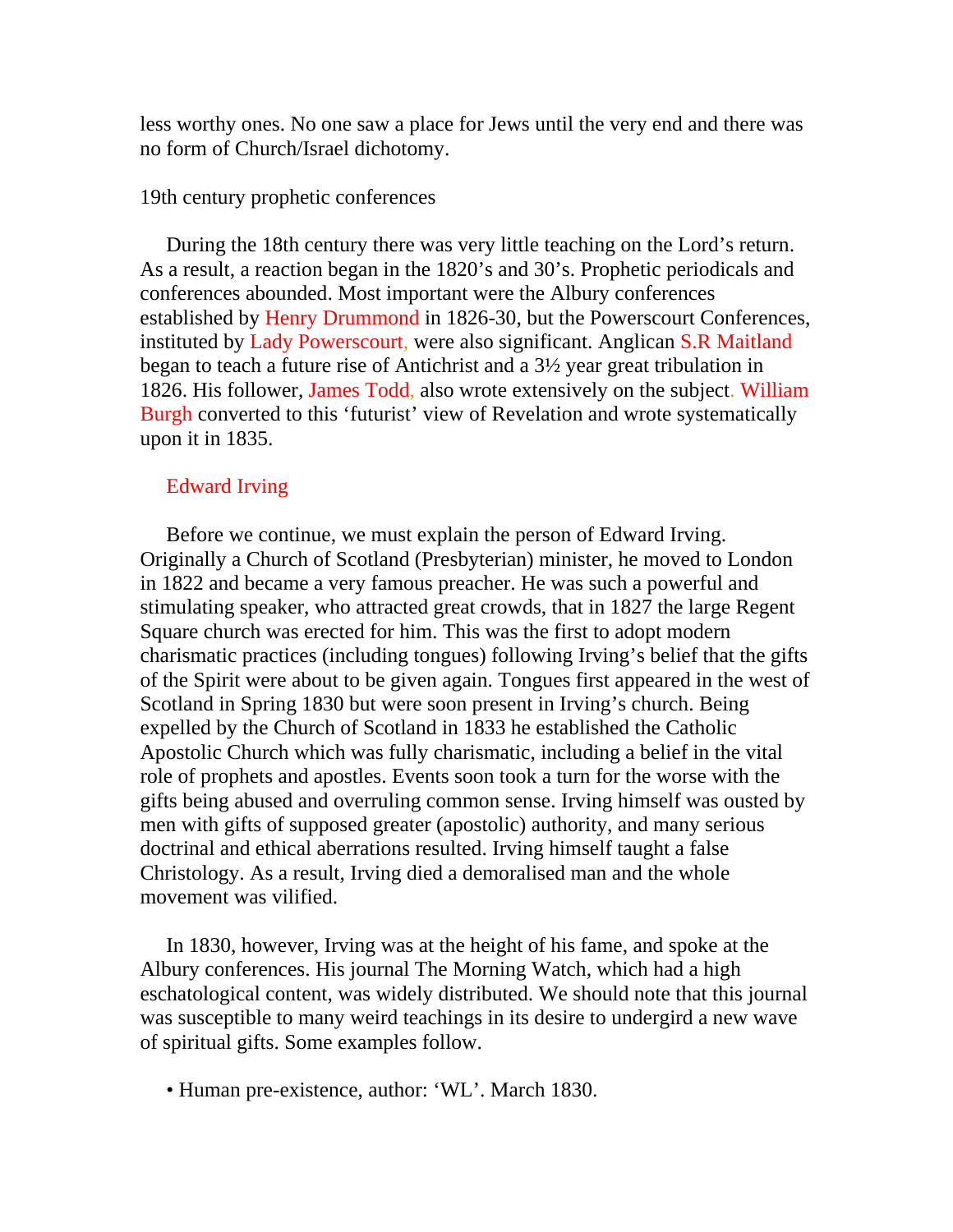less worthy ones. No one saw a place for Jews until the very end and there was no form of Church/Israel dichotomy.

## 19th century prophetic conferences

 During the 18th century there was very little teaching on the Lord's return. As a result, a reaction began in the 1820's and 30's. Prophetic periodicals and conferences abounded. Most important were the Albury conferences established by Henry Drummond in 1826-30, but the Powerscourt Conferences, instituted by Lady Powerscourt, were also significant. Anglican S.R Maitland began to teach a future rise of Antichrist and a 3½ year great tribulation in 1826. His follower, James Todd, also wrote extensively on the subject. William Burgh converted to this 'futurist' view of Revelation and wrote systematically upon it in 1835.

# Edward Irving

 Before we continue, we must explain the person of Edward Irving. Originally a Church of Scotland (Presbyterian) minister, he moved to London in 1822 and became a very famous preacher. He was such a powerful and stimulating speaker, who attracted great crowds, that in 1827 the large Regent Square church was erected for him. This was the first to adopt modern charismatic practices (including tongues) following Irving's belief that the gifts of the Spirit were about to be given again. Tongues first appeared in the west of Scotland in Spring 1830 but were soon present in Irving's church. Being expelled by the Church of Scotland in 1833 he established the Catholic Apostolic Church which was fully charismatic, including a belief in the vital role of prophets and apostles. Events soon took a turn for the worse with the gifts being abused and overruling common sense. Irving himself was ousted by men with gifts of supposed greater (apostolic) authority, and many serious doctrinal and ethical aberrations resulted. Irving himself taught a false Christology. As a result, Irving died a demoralised man and the whole movement was vilified.

 In 1830, however, Irving was at the height of his fame, and spoke at the Albury conferences. His journal The Morning Watch, which had a high eschatological content, was widely distributed. We should note that this journal was susceptible to many weird teachings in its desire to undergird a new wave of spiritual gifts. Some examples follow.

• Human pre-existence, author: 'WL'. March 1830.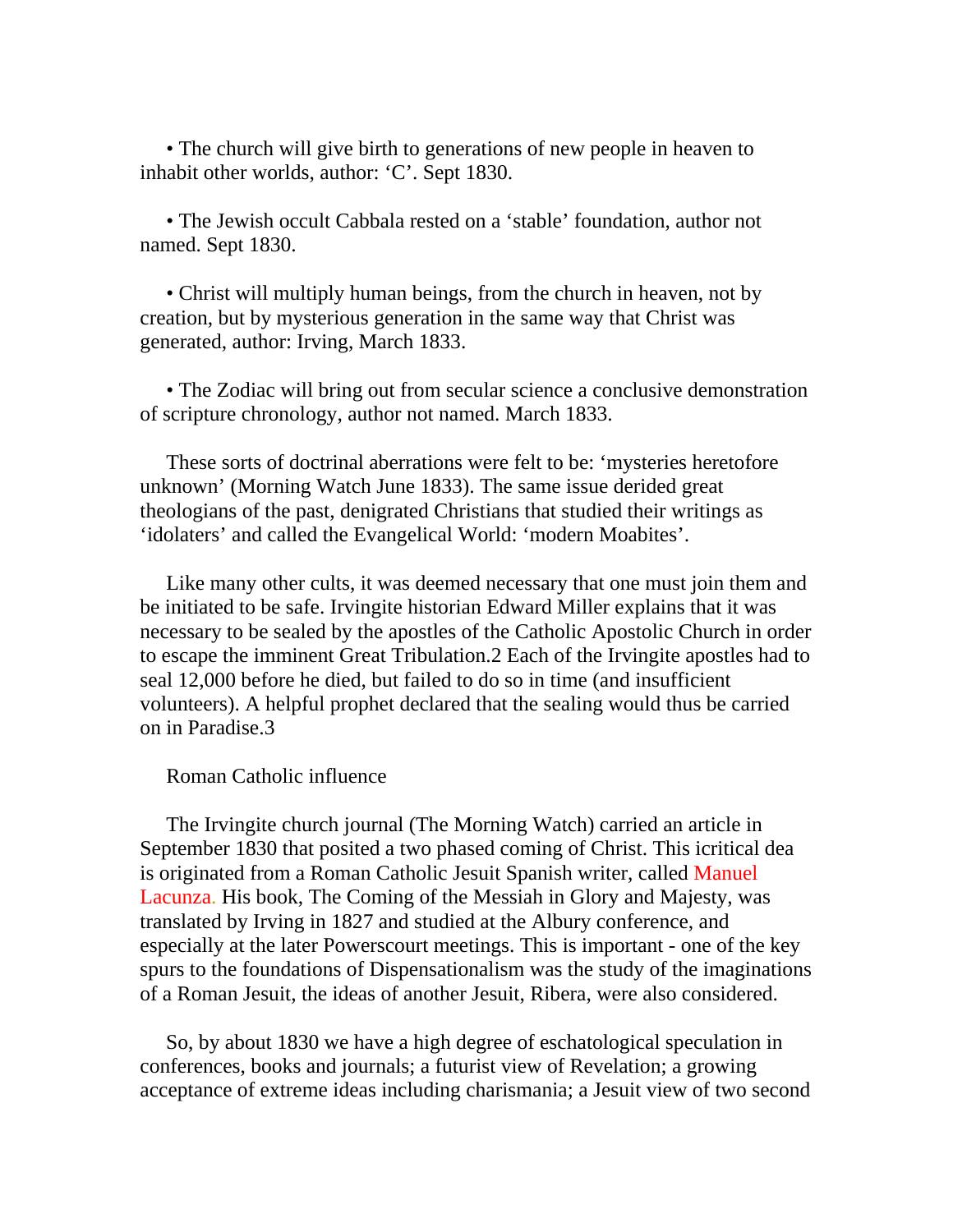• The church will give birth to generations of new people in heaven to inhabit other worlds, author: 'C'. Sept 1830.

 • The Jewish occult Cabbala rested on a 'stable' foundation, author not named. Sept 1830.

 • Christ will multiply human beings, from the church in heaven, not by creation, but by mysterious generation in the same way that Christ was generated, author: Irving, March 1833.

 • The Zodiac will bring out from secular science a conclusive demonstration of scripture chronology, author not named. March 1833.

 These sorts of doctrinal aberrations were felt to be: 'mysteries heretofore unknown' (Morning Watch June 1833). The same issue derided great theologians of the past, denigrated Christians that studied their writings as 'idolaters' and called the Evangelical World: 'modern Moabites'.

 Like many other cults, it was deemed necessary that one must join them and be initiated to be safe. Irvingite historian Edward Miller explains that it was necessary to be sealed by the apostles of the Catholic Apostolic Church in order to escape the imminent Great Tribulation.2 Each of the Irvingite apostles had to seal 12,000 before he died, but failed to do so in time (and insufficient volunteers). A helpful prophet declared that the sealing would thus be carried on in Paradise.3

### Roman Catholic influence

 The Irvingite church journal (The Morning Watch) carried an article in September 1830 that posited a two phased coming of Christ. This icritical dea is originated from a Roman Catholic Jesuit Spanish writer, called Manuel Lacunza. His book, The Coming of the Messiah in Glory and Majesty, was translated by Irving in 1827 and studied at the Albury conference, and especially at the later Powerscourt meetings. This is important - one of the key spurs to the foundations of Dispensationalism was the study of the imaginations of a Roman Jesuit, the ideas of another Jesuit, Ribera, were also considered.

 So, by about 1830 we have a high degree of eschatological speculation in conferences, books and journals; a futurist view of Revelation; a growing acceptance of extreme ideas including charismania; a Jesuit view of two second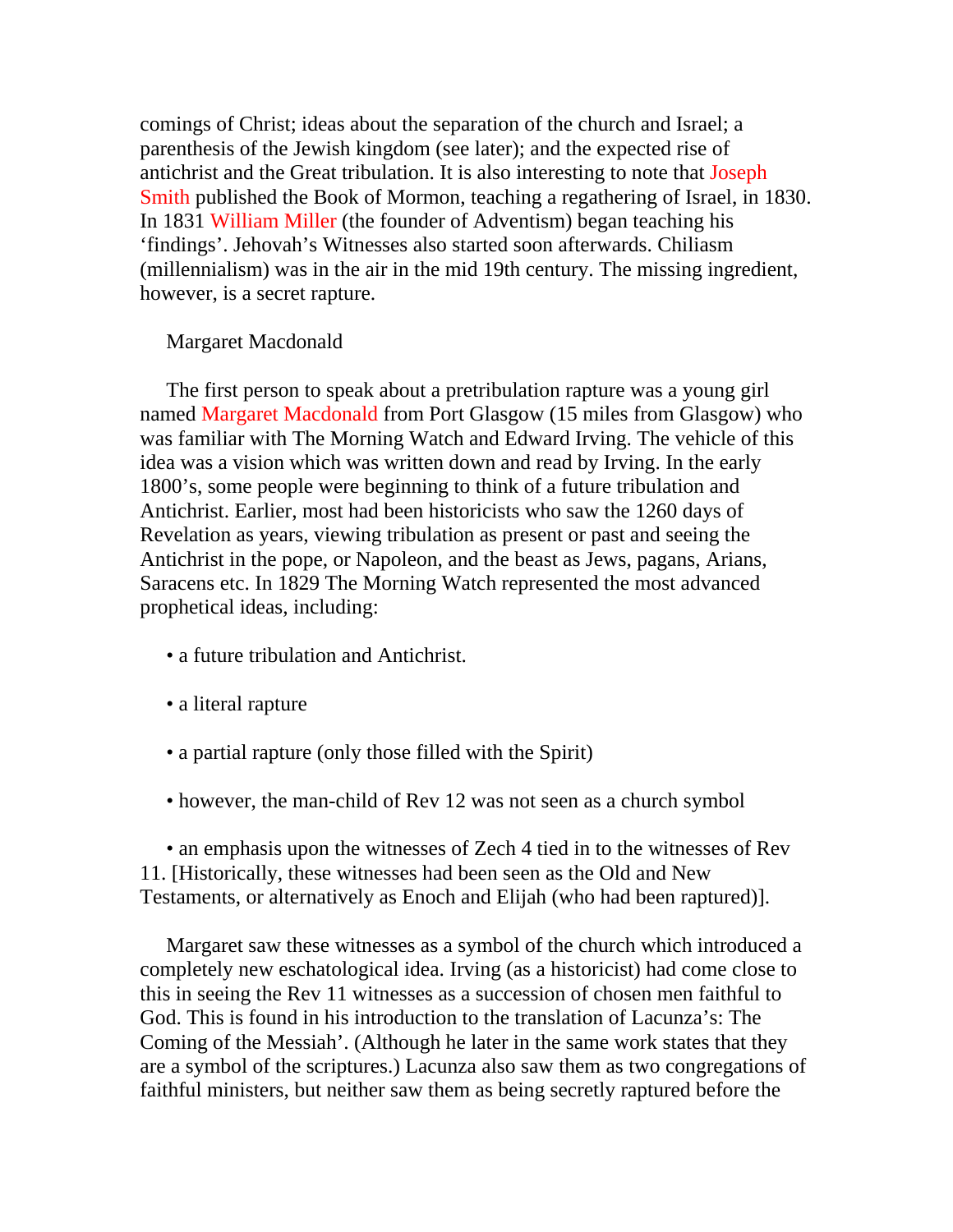comings of Christ; ideas about the separation of the church and Israel; a parenthesis of the Jewish kingdom (see later); and the expected rise of antichrist and the Great tribulation. It is also interesting to note that Joseph Smith published the Book of Mormon, teaching a regathering of Israel, in 1830. In 1831 William Miller (the founder of Adventism) began teaching his 'findings'. Jehovah's Witnesses also started soon afterwards. Chiliasm (millennialism) was in the air in the mid 19th century. The missing ingredient, however, is a secret rapture.

# Margaret Macdonald

 The first person to speak about a pretribulation rapture was a young girl named Margaret Macdonald from Port Glasgow (15 miles from Glasgow) who was familiar with The Morning Watch and Edward Irving. The vehicle of this idea was a vision which was written down and read by Irving. In the early 1800's, some people were beginning to think of a future tribulation and Antichrist. Earlier, most had been historicists who saw the 1260 days of Revelation as years, viewing tribulation as present or past and seeing the Antichrist in the pope, or Napoleon, and the beast as Jews, pagans, Arians, Saracens etc. In 1829 The Morning Watch represented the most advanced prophetical ideas, including:

- a future tribulation and Antichrist.
- a literal rapture
- a partial rapture (only those filled with the Spirit)
- however, the man-child of Rev 12 was not seen as a church symbol

 • an emphasis upon the witnesses of Zech 4 tied in to the witnesses of Rev 11. [Historically, these witnesses had been seen as the Old and New Testaments, or alternatively as Enoch and Elijah (who had been raptured)].

 Margaret saw these witnesses as a symbol of the church which introduced a completely new eschatological idea. Irving (as a historicist) had come close to this in seeing the Rev 11 witnesses as a succession of chosen men faithful to God. This is found in his introduction to the translation of Lacunza's: The Coming of the Messiah'. (Although he later in the same work states that they are a symbol of the scriptures.) Lacunza also saw them as two congregations of faithful ministers, but neither saw them as being secretly raptured before the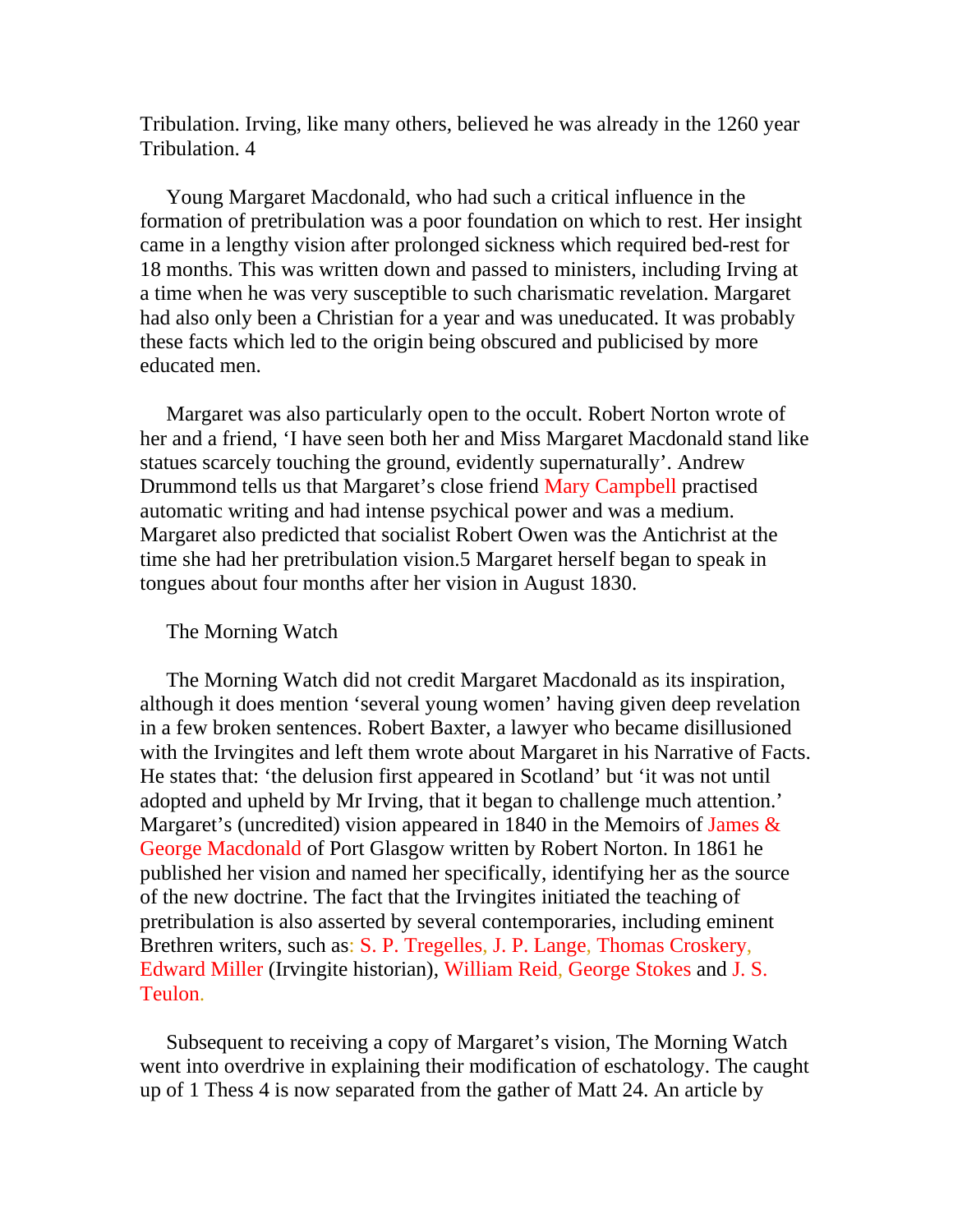Tribulation. Irving, like many others, believed he was already in the 1260 year Tribulation. 4

 Young Margaret Macdonald, who had such a critical influence in the formation of pretribulation was a poor foundation on which to rest. Her insight came in a lengthy vision after prolonged sickness which required bed-rest for 18 months. This was written down and passed to ministers, including Irving at a time when he was very susceptible to such charismatic revelation. Margaret had also only been a Christian for a year and was uneducated. It was probably these facts which led to the origin being obscured and publicised by more educated men.

 Margaret was also particularly open to the occult. Robert Norton wrote of her and a friend, 'I have seen both her and Miss Margaret Macdonald stand like statues scarcely touching the ground, evidently supernaturally'. Andrew Drummond tells us that Margaret's close friend Mary Campbell practised automatic writing and had intense psychical power and was a medium. Margaret also predicted that socialist Robert Owen was the Antichrist at the time she had her pretribulation vision.5 Margaret herself began to speak in tongues about four months after her vision in August 1830.

### The Morning Watch

 The Morning Watch did not credit Margaret Macdonald as its inspiration, although it does mention 'several young women' having given deep revelation in a few broken sentences. Robert Baxter, a lawyer who became disillusioned with the Irvingites and left them wrote about Margaret in his Narrative of Facts. He states that: 'the delusion first appeared in Scotland' but 'it was not until adopted and upheld by Mr Irving, that it began to challenge much attention.' Margaret's (uncredited) vision appeared in 1840 in the Memoirs of James  $\&$ George Macdonald of Port Glasgow written by Robert Norton. In 1861 he published her vision and named her specifically, identifying her as the source of the new doctrine. The fact that the Irvingites initiated the teaching of pretribulation is also asserted by several contemporaries, including eminent Brethren writers, such as: S. P. Tregelles, J. P. Lange, Thomas Croskery, Edward Miller (Irvingite historian), William Reid, George Stokes and J. S. Teulon.

 Subsequent to receiving a copy of Margaret's vision, The Morning Watch went into overdrive in explaining their modification of eschatology. The caught up of 1 Thess 4 is now separated from the gather of Matt 24. An article by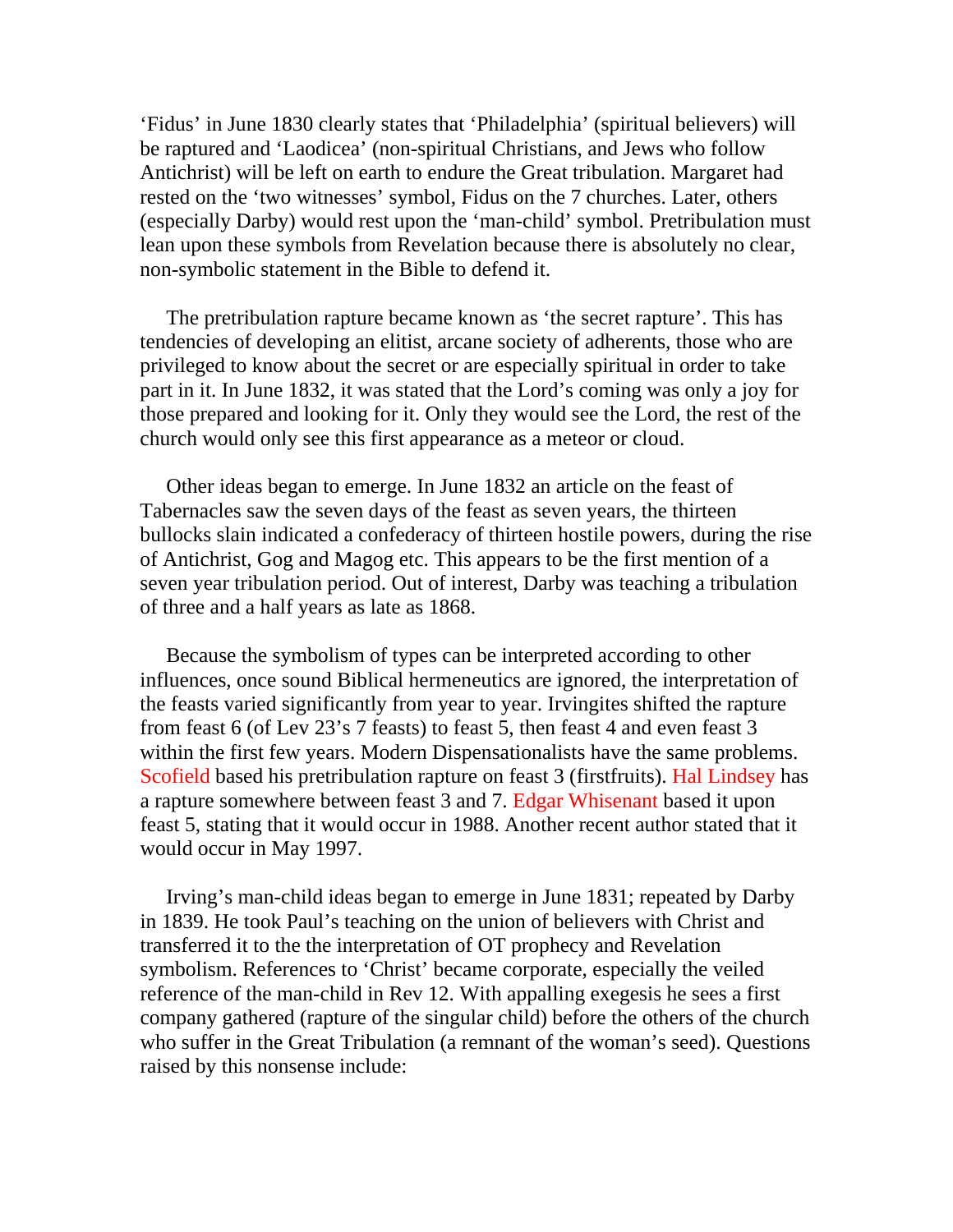'Fidus' in June 1830 clearly states that 'Philadelphia' (spiritual believers) will be raptured and 'Laodicea' (non-spiritual Christians, and Jews who follow Antichrist) will be left on earth to endure the Great tribulation. Margaret had rested on the 'two witnesses' symbol, Fidus on the 7 churches. Later, others (especially Darby) would rest upon the 'man-child' symbol. Pretribulation must lean upon these symbols from Revelation because there is absolutely no clear, non-symbolic statement in the Bible to defend it.

 The pretribulation rapture became known as 'the secret rapture'. This has tendencies of developing an elitist, arcane society of adherents, those who are privileged to know about the secret or are especially spiritual in order to take part in it. In June 1832, it was stated that the Lord's coming was only a joy for those prepared and looking for it. Only they would see the Lord, the rest of the church would only see this first appearance as a meteor or cloud.

 Other ideas began to emerge. In June 1832 an article on the feast of Tabernacles saw the seven days of the feast as seven years, the thirteen bullocks slain indicated a confederacy of thirteen hostile powers, during the rise of Antichrist, Gog and Magog etc. This appears to be the first mention of a seven year tribulation period. Out of interest, Darby was teaching a tribulation of three and a half years as late as 1868.

 Because the symbolism of types can be interpreted according to other influences, once sound Biblical hermeneutics are ignored, the interpretation of the feasts varied significantly from year to year. Irvingites shifted the rapture from feast 6 (of Lev 23's 7 feasts) to feast 5, then feast 4 and even feast 3 within the first few years. Modern Dispensationalists have the same problems. Scofield based his pretribulation rapture on feast 3 (firstfruits). Hal Lindsey has a rapture somewhere between feast 3 and 7. Edgar Whisenant based it upon feast 5, stating that it would occur in 1988. Another recent author stated that it would occur in May 1997.

 Irving's man-child ideas began to emerge in June 1831; repeated by Darby in 1839. He took Paul's teaching on the union of believers with Christ and transferred it to the the interpretation of OT prophecy and Revelation symbolism. References to 'Christ' became corporate, especially the veiled reference of the man-child in Rev 12. With appalling exegesis he sees a first company gathered (rapture of the singular child) before the others of the church who suffer in the Great Tribulation (a remnant of the woman's seed). Questions raised by this nonsense include: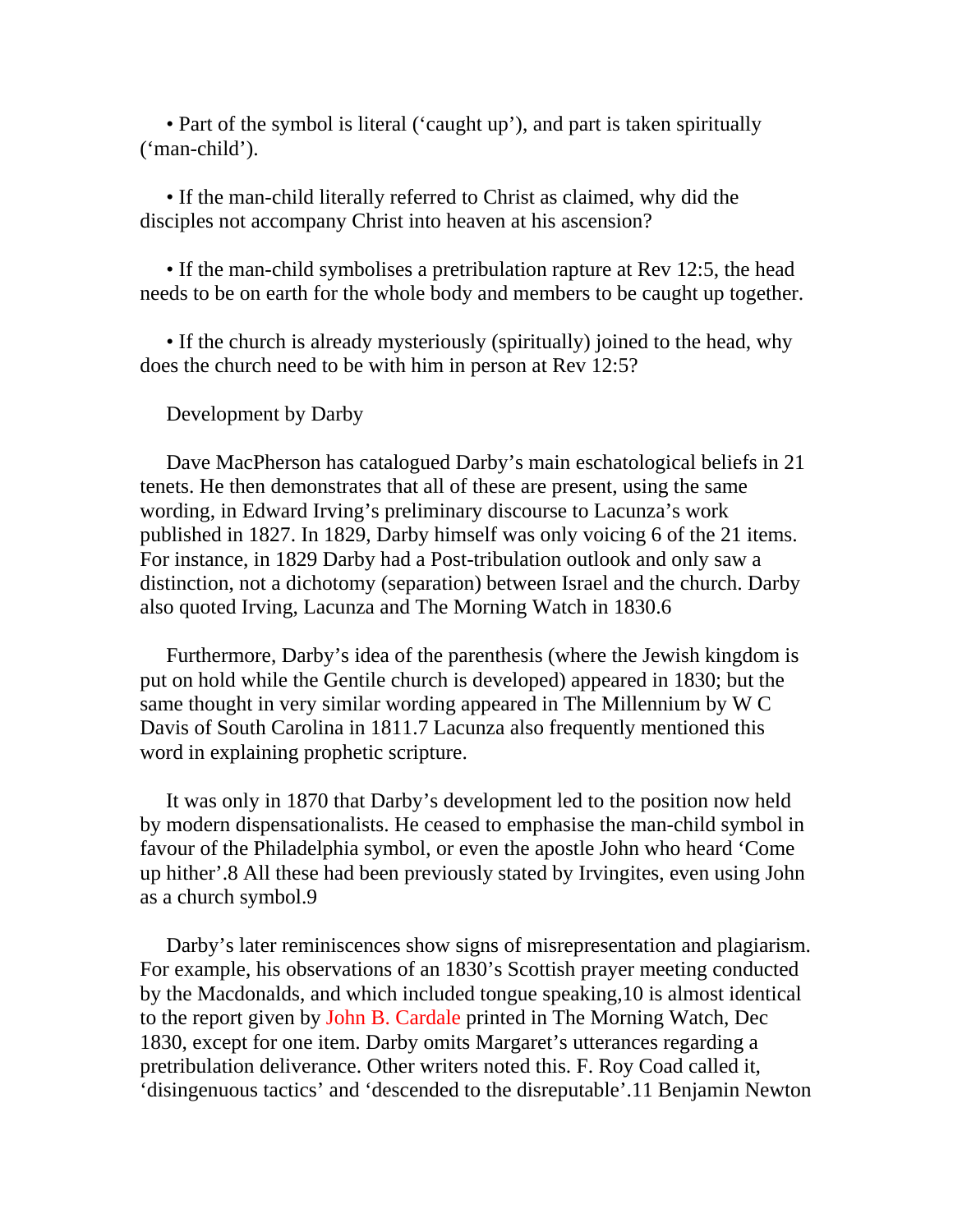• Part of the symbol is literal ('caught up'), and part is taken spiritually ('man-child').

 • If the man-child literally referred to Christ as claimed, why did the disciples not accompany Christ into heaven at his ascension?

• If the man-child symbolises a pretribulation rapture at Rev 12:5, the head needs to be on earth for the whole body and members to be caught up together.

• If the church is already mysteriously (spiritually) joined to the head, why does the church need to be with him in person at Rev 12:5?

Development by Darby

 Dave MacPherson has catalogued Darby's main eschatological beliefs in 21 tenets. He then demonstrates that all of these are present, using the same wording, in Edward Irving's preliminary discourse to Lacunza's work published in 1827. In 1829, Darby himself was only voicing 6 of the 21 items. For instance, in 1829 Darby had a Post-tribulation outlook and only saw a distinction, not a dichotomy (separation) between Israel and the church. Darby also quoted Irving, Lacunza and The Morning Watch in 1830.6

 Furthermore, Darby's idea of the parenthesis (where the Jewish kingdom is put on hold while the Gentile church is developed) appeared in 1830; but the same thought in very similar wording appeared in The Millennium by W C Davis of South Carolina in 1811.7 Lacunza also frequently mentioned this word in explaining prophetic scripture.

 It was only in 1870 that Darby's development led to the position now held by modern dispensationalists. He ceased to emphasise the man-child symbol in favour of the Philadelphia symbol, or even the apostle John who heard 'Come up hither'.8 All these had been previously stated by Irvingites, even using John as a church symbol.9

 Darby's later reminiscences show signs of misrepresentation and plagiarism. For example, his observations of an 1830's Scottish prayer meeting conducted by the Macdonalds, and which included tongue speaking,10 is almost identical to the report given by John B. Cardale printed in The Morning Watch, Dec 1830, except for one item. Darby omits Margaret's utterances regarding a pretribulation deliverance. Other writers noted this. F. Roy Coad called it, 'disingenuous tactics' and 'descended to the disreputable'.11 Benjamin Newton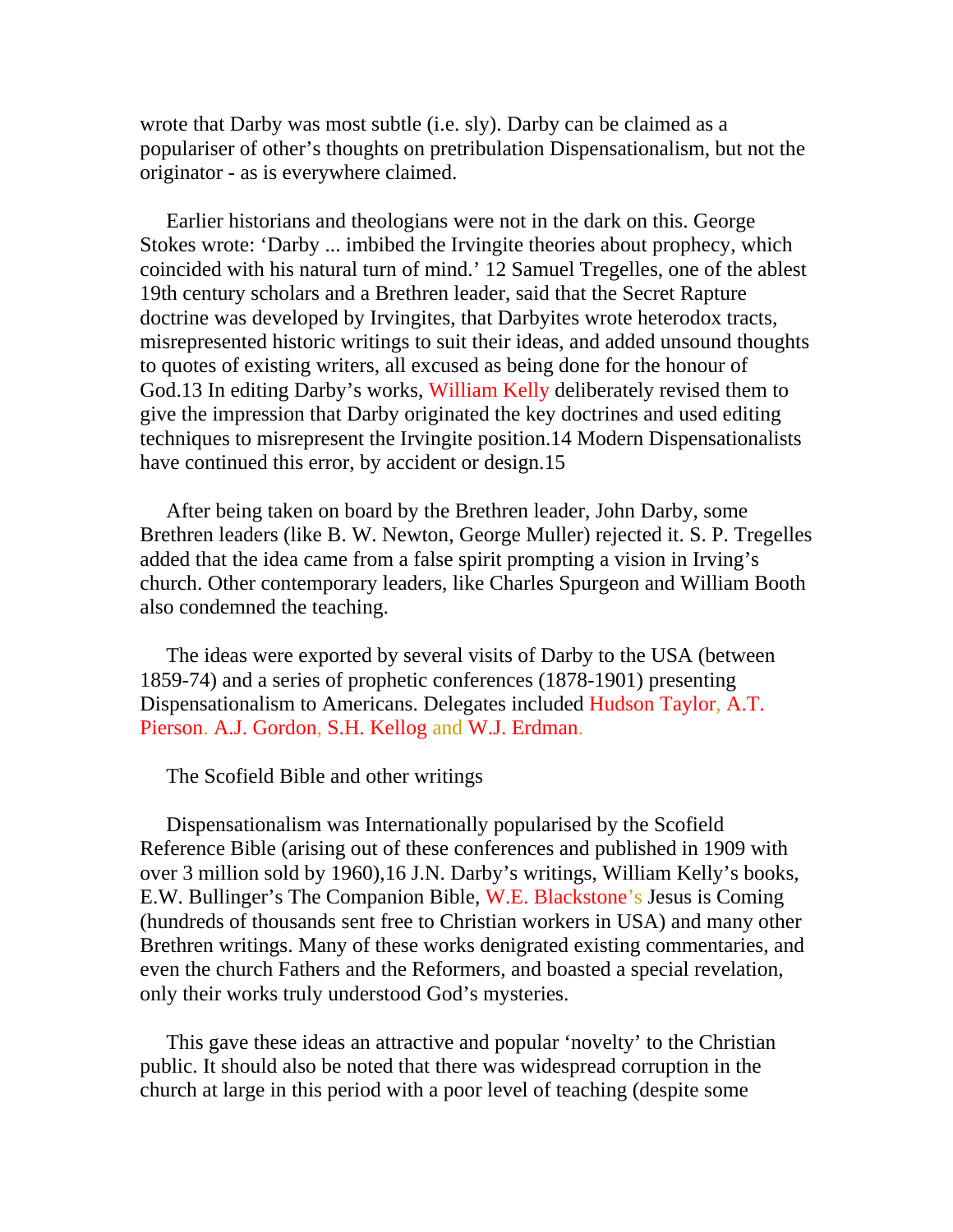wrote that Darby was most subtle (i.e. sly). Darby can be claimed as a populariser of other's thoughts on pretribulation Dispensationalism, but not the originator - as is everywhere claimed.

 Earlier historians and theologians were not in the dark on this. George Stokes wrote: 'Darby ... imbibed the Irvingite theories about prophecy, which coincided with his natural turn of mind.' 12 Samuel Tregelles, one of the ablest 19th century scholars and a Brethren leader, said that the Secret Rapture doctrine was developed by Irvingites, that Darbyites wrote heterodox tracts, misrepresented historic writings to suit their ideas, and added unsound thoughts to quotes of existing writers, all excused as being done for the honour of God.13 In editing Darby's works, William Kelly deliberately revised them to give the impression that Darby originated the key doctrines and used editing techniques to misrepresent the Irvingite position.14 Modern Dispensationalists have continued this error, by accident or design.15

 After being taken on board by the Brethren leader, John Darby, some Brethren leaders (like B. W. Newton, George Muller) rejected it. S. P. Tregelles added that the idea came from a false spirit prompting a vision in Irving's church. Other contemporary leaders, like Charles Spurgeon and William Booth also condemned the teaching.

 The ideas were exported by several visits of Darby to the USA (between 1859-74) and a series of prophetic conferences (1878-1901) presenting Dispensationalism to Americans. Delegates included Hudson Taylor, A.T. Pierson. A.J. Gordon, S.H. Kellog and W.J. Erdman.

The Scofield Bible and other writings

 Dispensationalism was Internationally popularised by the Scofield Reference Bible (arising out of these conferences and published in 1909 with over 3 million sold by 1960),16 J.N. Darby's writings, William Kelly's books, E.W. Bullinger's The Companion Bible, W.E. Blackstone's Jesus is Coming (hundreds of thousands sent free to Christian workers in USA) and many other Brethren writings. Many of these works denigrated existing commentaries, and even the church Fathers and the Reformers, and boasted a special revelation, only their works truly understood God's mysteries.

 This gave these ideas an attractive and popular 'novelty' to the Christian public. It should also be noted that there was widespread corruption in the church at large in this period with a poor level of teaching (despite some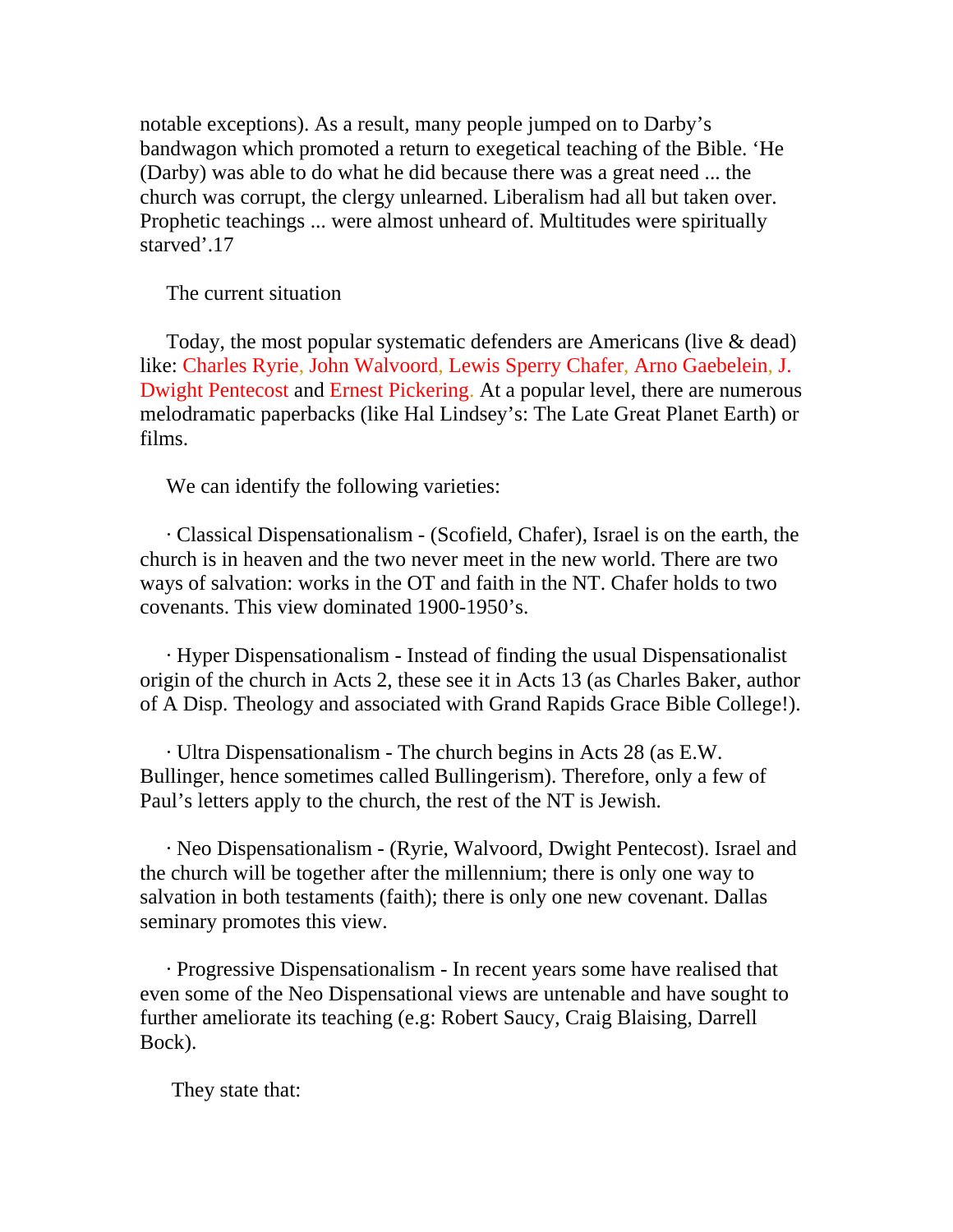notable exceptions). As a result, many people jumped on to Darby's bandwagon which promoted a return to exegetical teaching of the Bible. 'He (Darby) was able to do what he did because there was a great need ... the church was corrupt, the clergy unlearned. Liberalism had all but taken over. Prophetic teachings ... were almost unheard of. Multitudes were spiritually starved'.17

The current situation

 Today, the most popular systematic defenders are Americans (live & dead) like: Charles Ryrie, John Walvoord, Lewis Sperry Chafer, Arno Gaebelein, J. Dwight Pentecost and Ernest Pickering. At a popular level, there are numerous melodramatic paperbacks (like Hal Lindsey's: The Late Great Planet Earth) or films.

We can identify the following varieties:

 · Classical Dispensationalism - (Scofield, Chafer), Israel is on the earth, the church is in heaven and the two never meet in the new world. There are two ways of salvation: works in the OT and faith in the NT. Chafer holds to two covenants. This view dominated 1900-1950's.

 · Hyper Dispensationalism - Instead of finding the usual Dispensationalist origin of the church in Acts 2, these see it in Acts 13 (as Charles Baker, author of A Disp. Theology and associated with Grand Rapids Grace Bible College!).

 · Ultra Dispensationalism - The church begins in Acts 28 (as E.W. Bullinger, hence sometimes called Bullingerism). Therefore, only a few of Paul's letters apply to the church, the rest of the NT is Jewish.

 · Neo Dispensationalism - (Ryrie, Walvoord, Dwight Pentecost). Israel and the church will be together after the millennium; there is only one way to salvation in both testaments (faith); there is only one new covenant. Dallas seminary promotes this view.

 · Progressive Dispensationalism - In recent years some have realised that even some of the Neo Dispensational views are untenable and have sought to further ameliorate its teaching (e.g: Robert Saucy, Craig Blaising, Darrell Bock).

They state that: